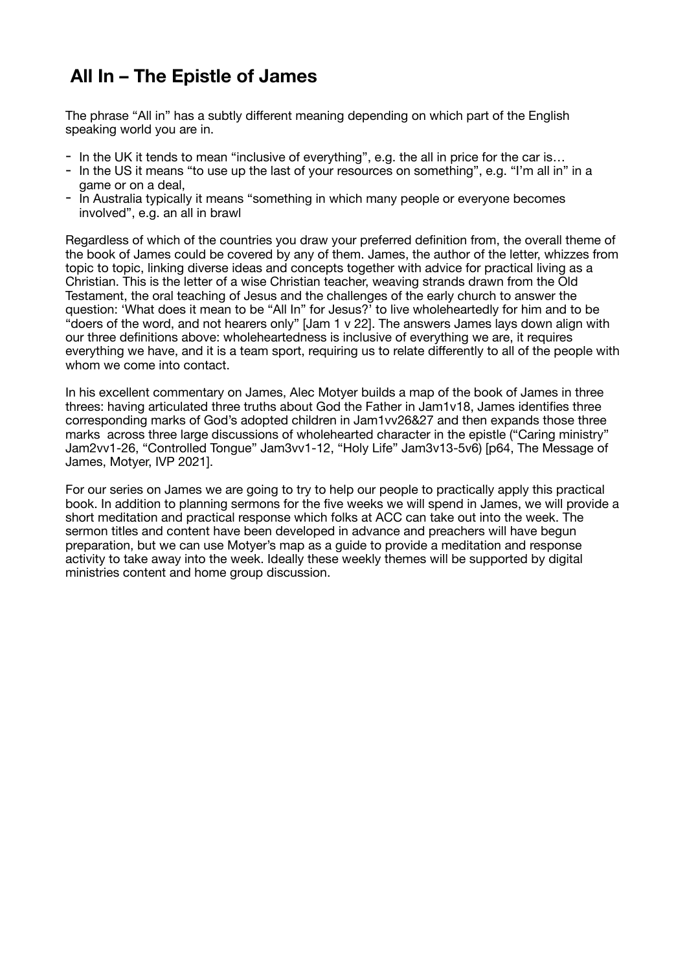# **All In – The Epistle of James**

The phrase "All in" has a subtly different meaning depending on which part of the English speaking world you are in.

- In the UK it tends to mean "inclusive of everything", e.g. the all in price for the car is...
- In the US it means "to use up the last of your resources on something", e.g. "I'm all in" in a game or on a deal,
- In Australia typically it means "something in which many people or everyone becomes involved", e.g. an all in brawl

Regardless of which of the countries you draw your preferred definition from, the overall theme of the book of James could be covered by any of them. James, the author of the letter, whizzes from topic to topic, linking diverse ideas and concepts together with advice for practical living as a Christian. This is the letter of a wise Christian teacher, weaving strands drawn from the Old Testament, the oral teaching of Jesus and the challenges of the early church to answer the question: 'What does it mean to be "All In" for Jesus?' to live wholeheartedly for him and to be "doers of the word, and not hearers only" [Jam 1 v 22]. The answers James lays down align with our three definitions above: wholeheartedness is inclusive of everything we are, it requires everything we have, and it is a team sport, requiring us to relate differently to all of the people with whom we come into contact.

In his excellent commentary on James, Alec Motyer builds a map of the book of James in three threes: having articulated three truths about God the Father in Jam1v18, James identifies three corresponding marks of God's adopted children in Jam1vv26&27 and then expands those three marks across three large discussions of wholehearted character in the epistle ("Caring ministry" Jam2vv1-26, "Controlled Tongue" Jam3vv1-12, "Holy Life" Jam3v13-5v6) [p64, The Message of James, Motyer, IVP 2021].

For our series on James we are going to try to help our people to practically apply this practical book. In addition to planning sermons for the five weeks we will spend in James, we will provide a short meditation and practical response which folks at ACC can take out into the week. The sermon titles and content have been developed in advance and preachers will have begun preparation, but we can use Motyer's map as a guide to provide a meditation and response activity to take away into the week. Ideally these weekly themes will be supported by digital ministries content and home group discussion.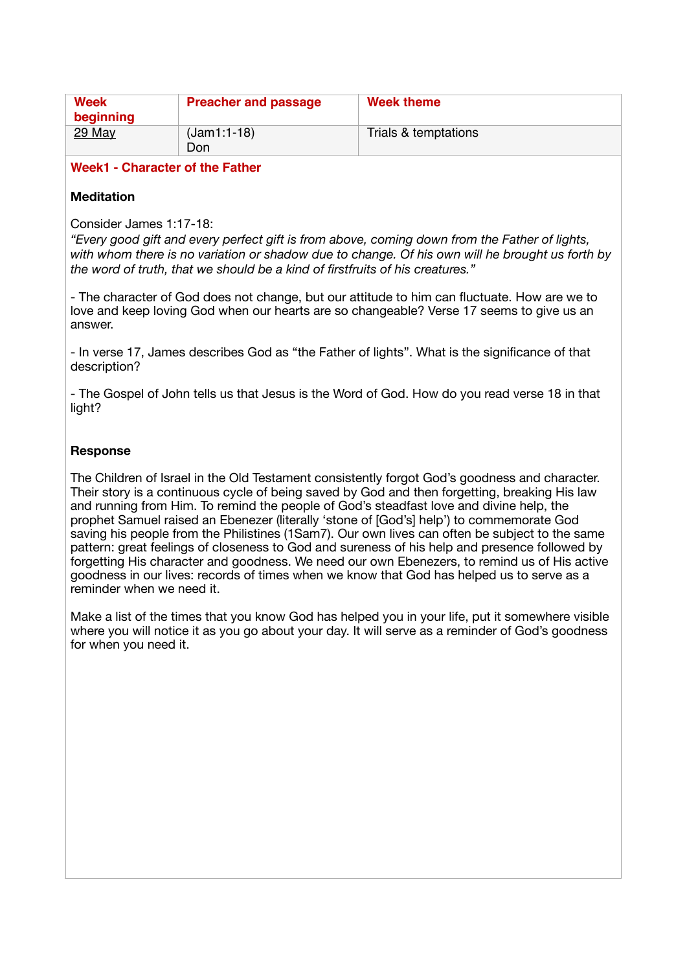| <b>Week</b><br>beginning | <b>Preacher and passage</b> | Week theme           |
|--------------------------|-----------------------------|----------------------|
| 29 May                   | $(Jam1:1-18)$<br>Don        | Trials & temptations |

## **Week1 - Character of the Father**

# **Meditation**

Consider James 1:17-18:

*"Every good gift and every perfect gift is from above, coming down from the Father of lights, with whom there is no variation or shadow due to change. Of his own will he brought us forth by the word of truth, that we should be a kind of firstfruits of his creatures."* 

- The character of God does not change, but our attitude to him can fluctuate. How are we to love and keep loving God when our hearts are so changeable? Verse 17 seems to give us an answer.

- In verse 17, James describes God as "the Father of lights". What is the significance of that description?

- The Gospel of John tells us that Jesus is the Word of God. How do you read verse 18 in that light?

## **Response**

The Children of Israel in the Old Testament consistently forgot God's goodness and character. Their story is a continuous cycle of being saved by God and then forgetting, breaking His law and running from Him. To remind the people of God's steadfast love and divine help, the prophet Samuel raised an Ebenezer (literally 'stone of [God's] help') to commemorate God saving his people from the Philistines (1Sam7). Our own lives can often be subject to the same pattern: great feelings of closeness to God and sureness of his help and presence followed by forgetting His character and goodness. We need our own Ebenezers, to remind us of His active goodness in our lives: records of times when we know that God has helped us to serve as a reminder when we need it.

Make a list of the times that you know God has helped you in your life, put it somewhere visible where you will notice it as you go about your day. It will serve as a reminder of God's goodness for when you need it.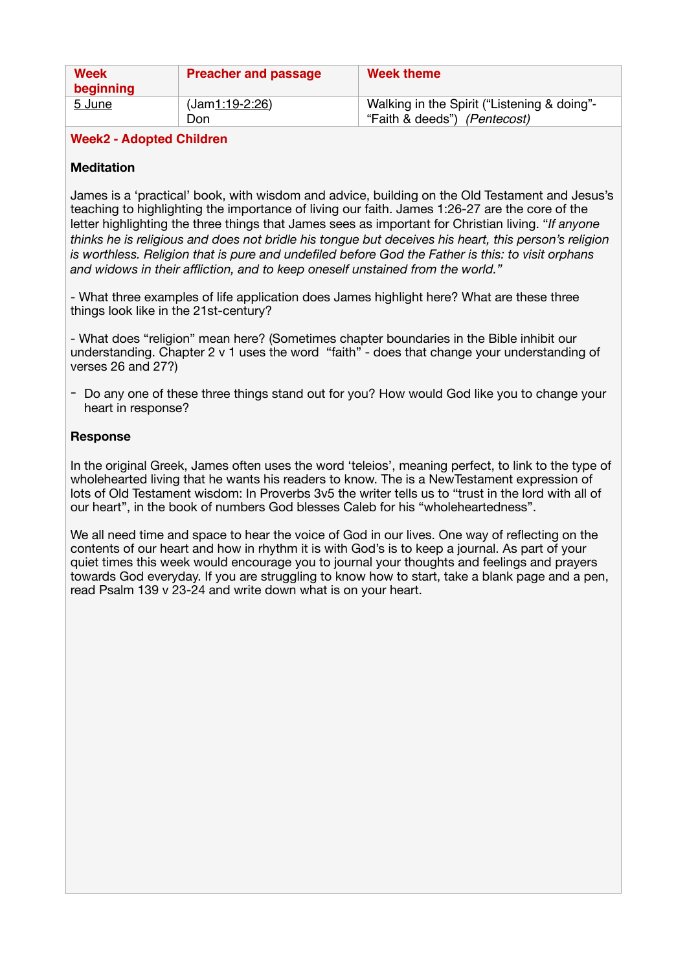| Week<br>beginning | <b>Preacher and passage</b> | Week theme                                                                  |
|-------------------|-----------------------------|-----------------------------------------------------------------------------|
| 5 June            | $(Jam1:19-2:26)$<br>Don     | Walking in the Spirit ("Listening & doing"-<br>"Faith & deeds") (Pentecost) |

## **Week2 - Adopted Children**

## **Meditation**

James is a 'practical' book, with wisdom and advice, building on the Old Testament and Jesus's teaching to highlighting the importance of living our faith. James 1:26-27 are the core of the letter highlighting the three things that James sees as important for Christian living. "*If anyone thinks he is religious and does not bridle his tongue but deceives his heart, this person's religion is worthless. Religion that is pure and undefiled before God the Father is this: to visit orphans and widows in their affliction, and to keep oneself unstained from the world."*

- What three examples of life application does James highlight here? What are these three things look like in the 21st-century?

- What does "religion" mean here? (Sometimes chapter boundaries in the Bible inhibit our understanding. Chapter 2 v 1 uses the word "faith" - does that change your understanding of verses 26 and 27?)

- Do any one of these three things stand out for you? How would God like you to change your heart in response?

## **Response**

In the original Greek, James often uses the word 'teleios', meaning perfect, to link to the type of wholehearted living that he wants his readers to know. The is a NewTestament expression of lots of Old Testament wisdom: In Proverbs 3v5 the writer tells us to "trust in the lord with all of our heart", in the book of numbers God blesses Caleb for his "wholeheartedness".

We all need time and space to hear the voice of God in our lives. One way of reflecting on the contents of our heart and how in rhythm it is with God's is to keep a journal. As part of your quiet times this week would encourage you to journal your thoughts and feelings and prayers towards God everyday. If you are struggling to know how to start, take a blank page and a pen, read Psalm 139 v 23-24 and write down what is on your heart.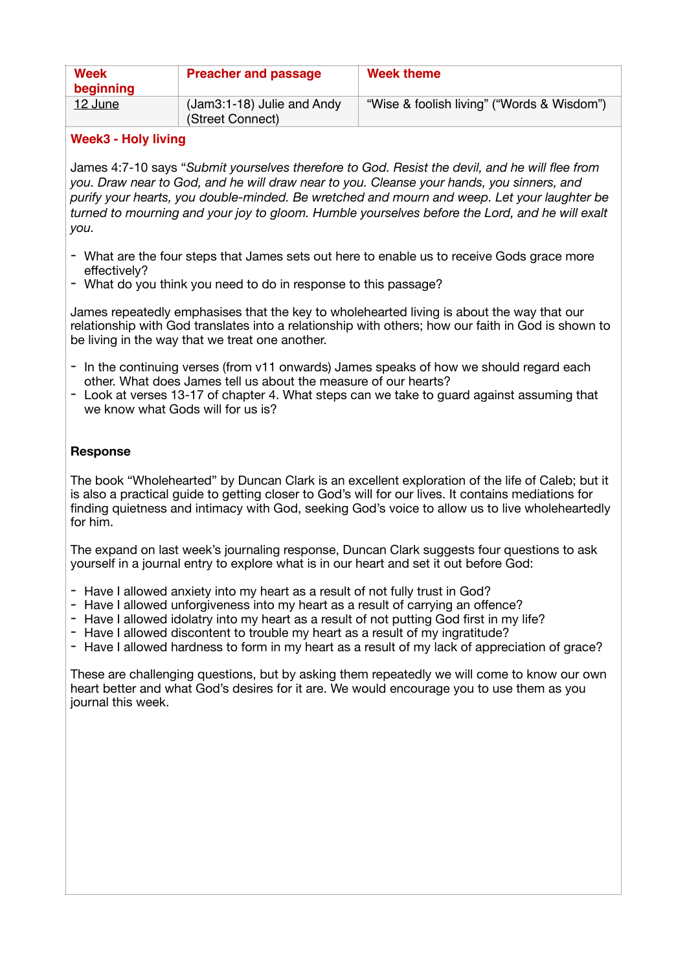| Week<br>beginning | <b>Preacher and passage</b>                      | <b>Week theme</b>                          |
|-------------------|--------------------------------------------------|--------------------------------------------|
| 12 June           | $(Jam3:1-18)$ Julie and Andy<br>(Street Connect) | "Wise & foolish living" ("Words & Wisdom") |

# **Week3 - Holy living**

James 4:7-10 says "*Submit yourselves therefore to God. Resist the devil, and he will flee from you. Draw near to God, and he will draw near to you. Cleanse your hands, you sinners, and purify your hearts, you double-minded. Be wretched and mourn and weep. Let your laughter be turned to mourning and your joy to gloom. Humble yourselves before the Lord, and he will exalt you.* 

- What are the four steps that James sets out here to enable us to receive Gods grace more effectively?
- What do you think you need to do in response to this passage?

James repeatedly emphasises that the key to wholehearted living is about the way that our relationship with God translates into a relationship with others; how our faith in God is shown to be living in the way that we treat one another.

- In the continuing verses (from v11 onwards) James speaks of how we should regard each other. What does James tell us about the measure of our hearts?
- Look at verses 13-17 of chapter 4. What steps can we take to guard against assuming that we know what Gods will for us is?

# **Response**

The book "Wholehearted" by Duncan Clark is an excellent exploration of the life of Caleb; but it is also a practical guide to getting closer to God's will for our lives. It contains mediations for finding quietness and intimacy with God, seeking God's voice to allow us to live wholeheartedly for him.

The expand on last week's journaling response, Duncan Clark suggests four questions to ask yourself in a journal entry to explore what is in our heart and set it out before God:

- Have I allowed anxiety into my heart as a result of not fully trust in God?
- Have I allowed unforgiveness into my heart as a result of carrying an offence?
- Have I allowed idolatry into my heart as a result of not putting God first in my life?
- Have I allowed discontent to trouble my heart as a result of my ingratitude?
- Have I allowed hardness to form in my heart as a result of my lack of appreciation of grace?

These are challenging questions, but by asking them repeatedly we will come to know our own heart better and what God's desires for it are. We would encourage you to use them as you journal this week.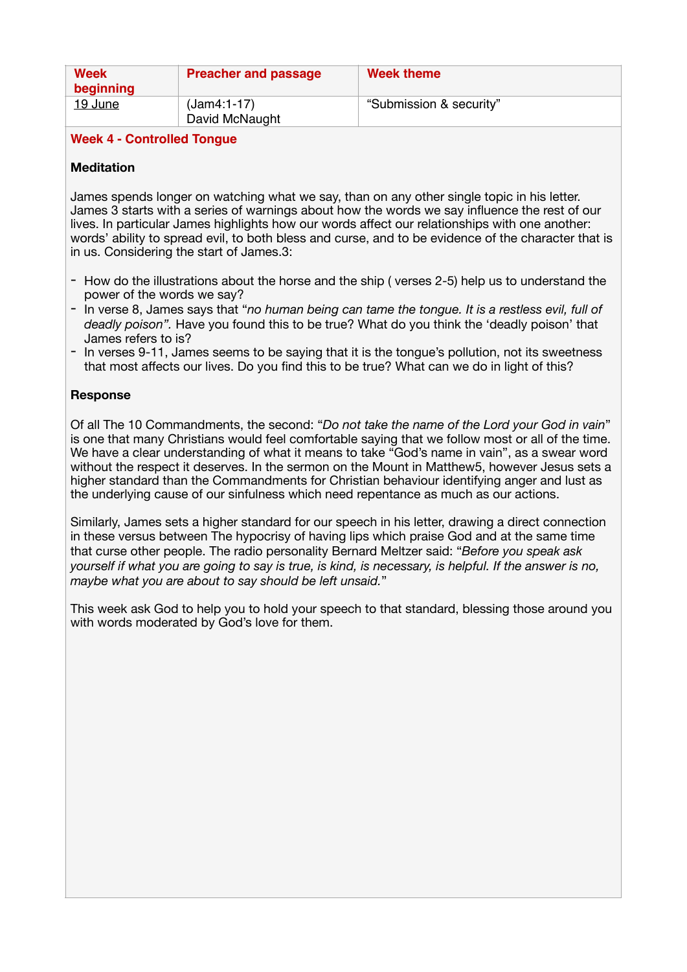| Week<br>beginning | <b>Preacher and passage</b>     | Week theme              |
|-------------------|---------------------------------|-------------------------|
| 19 June           | $(Jam4:1-17)$<br>David McNaught | "Submission & security" |

# **Week 4 - Controlled Tongue**

## **Meditation**

James spends longer on watching what we say, than on any other single topic in his letter. James 3 starts with a series of warnings about how the words we say influence the rest of our lives. In particular James highlights how our words affect our relationships with one another: words' ability to spread evil, to both bless and curse, and to be evidence of the character that is in us. Considering the start of James.3:

- How do the illustrations about the horse and the ship ( verses 2-5) help us to understand the power of the words we say?
- In verse 8, James says that "*no human being can tame the tongue. It is a restless evil, full of deadly poison".* Have you found this to be true? What do you think the 'deadly poison' that James refers to is?
- In verses 9-11, James seems to be saying that it is the tongue's pollution, not its sweetness that most affects our lives. Do you find this to be true? What can we do in light of this?

## **Response**

Of all The 10 Commandments, the second: "*Do not take the name of the Lord your God in vain*" is one that many Christians would feel comfortable saying that we follow most or all of the time. We have a clear understanding of what it means to take "God's name in vain", as a swear word without the respect it deserves. In the sermon on the Mount in Matthew5, however Jesus sets a higher standard than the Commandments for Christian behaviour identifying anger and lust as the underlying cause of our sinfulness which need repentance as much as our actions.

Similarly, James sets a higher standard for our speech in his letter, drawing a direct connection in these versus between The hypocrisy of having lips which praise God and at the same time that curse other people. The radio personality Bernard Meltzer said: "*Before you speak ask yourself if what you are going to say is true, is kind, is necessary, is helpful. If the answer is no, maybe what you are about to say should be left unsaid.*"

This week ask God to help you to hold your speech to that standard, blessing those around you with words moderated by God's love for them.